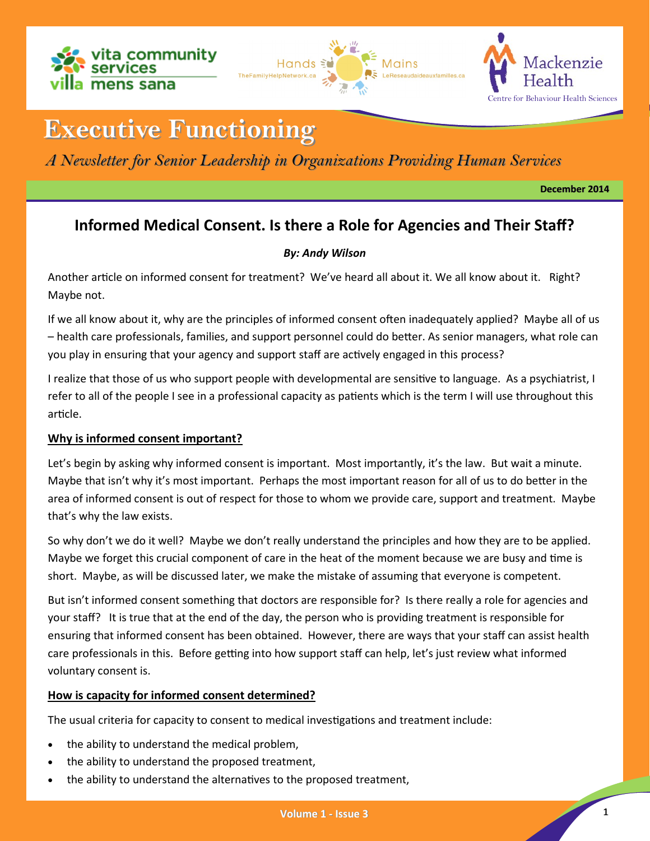





# **Executive Functioning**

# *A Newsletter for Senior Leadership in Organizations Providing Human Services*

**December 2014**

# **Informed Medical Consent. Is there a Role for Agencies and Their Staff?**

# *By: Andy Wilson*

Another article on informed consent for treatment? We've heard all about it. We all know about it. Right? Maybe not.

If we all know about it, why are the principles of informed consent often inadequately applied? Maybe all of us – health care professionals, families, and support personnel could do better. As senior managers, what role can you play in ensuring that your agency and support staff are actively engaged in this process?

I realize that those of us who support people with developmental are sensitive to language. As a psychiatrist, I refer to all of the people I see in a professional capacity as patients which is the term I will use throughout this article.

# **Why is informed consent important?**

Let's begin by asking why informed consent is important. Most importantly, it's the law. But wait a minute. Maybe that isn't why it's most important. Perhaps the most important reason for all of us to do better in the area of informed consent is out of respect for those to whom we provide care, support and treatment. Maybe that's why the law exists.

So why don't we do it well? Maybe we don't really understand the principles and how they are to be applied. Maybe we forget this crucial component of care in the heat of the moment because we are busy and time is short. Maybe, as will be discussed later, we make the mistake of assuming that everyone is competent.

But isn't informed consent something that doctors are responsible for? Is there really a role for agencies and your staff? It is true that at the end of the day, the person who is providing treatment is responsible for ensuring that informed consent has been obtained. However, there are ways that your staff can assist health care professionals in this. Before getting into how support staff can help, let's just review what informed voluntary consent is.

# **How is capacity for informed consent determined?**

The usual criteria for capacity to consent to medical investigations and treatment include:

- the ability to understand the medical problem,
- the ability to understand the proposed treatment,
- the ability to understand the alternatives to the proposed treatment,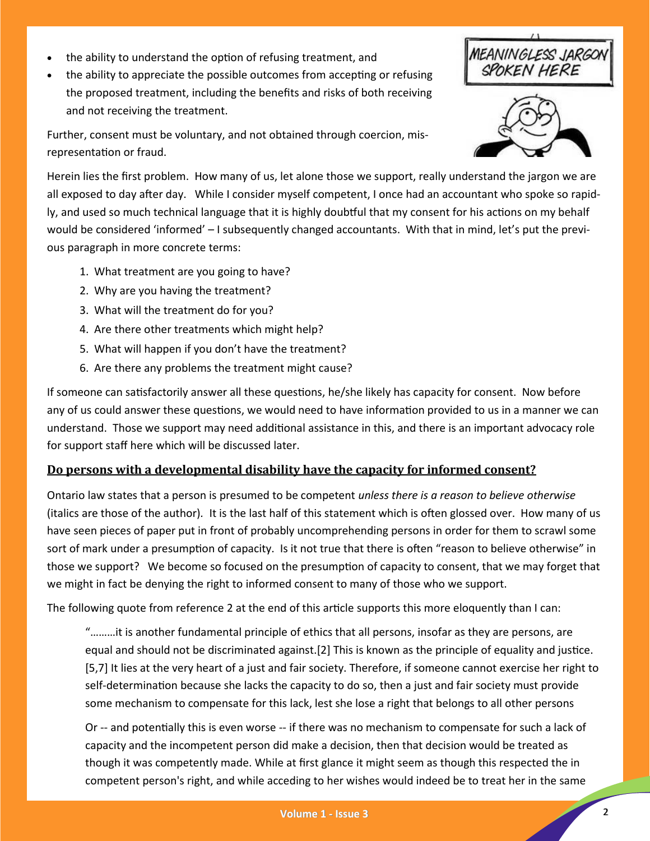- the ability to understand the option of refusing treatment, and
- the ability to appreciate the possible outcomes from accepting or refusing the proposed treatment, including the benefits and risks of both receiving and not receiving the treatment.

**EANINGLESS JARGON**<br>SPOKEN HERE

Further, consent must be voluntary, and not obtained through coercion, misrepresentation or fraud.

Herein lies the first problem. How many of us, let alone those we support, really understand the jargon we are all exposed to day after day. While I consider myself competent, I once had an accountant who spoke so rapidly, and used so much technical language that it is highly doubtful that my consent for his actions on my behalf would be considered 'informed' – I subsequently changed accountants. With that in mind, let's put the previous paragraph in more concrete terms:

- 1. What treatment are you going to have?
- 2. Why are you having the treatment?
- 3. What will the treatment do for you?
- 4. Are there other treatments which might help?
- 5. What will happen if you don't have the treatment?
- 6. Are there any problems the treatment might cause?

If someone can satisfactorily answer all these questions, he/she likely has capacity for consent. Now before any of us could answer these questions, we would need to have information provided to us in a manner we can understand. Those we support may need additional assistance in this, and there is an important advocacy role for support staff here which will be discussed later.

## **Do persons with a developmental disability have the capacity for informed consent?**

Ontario law states that a person is presumed to be competent *unless there is a reason to believe otherwise* (italics are those of the author)*.* It is the last half of this statement which is often glossed over. How many of us have seen pieces of paper put in front of probably uncomprehending persons in order for them to scrawl some sort of mark under a presumption of capacity. Is it not true that there is often "reason to believe otherwise" in those we support? We become so focused on the presumption of capacity to consent, that we may forget that we might in fact be denying the right to informed consent to many of those who we support.

The following quote from reference 2 at the end of this article supports this more eloquently than I can:

"………it is another fundamental principle of ethics that all persons, insofar as they are persons, are equal and should not be discriminated against.[2] This is known as the principle of equality and justice. [5,7] It lies at the very heart of a just and fair society. Therefore, if someone cannot exercise her right to self-determination because she lacks the capacity to do so, then a just and fair society must provide some mechanism to compensate for this lack, lest she lose a right that belongs to all other persons

Or -- and potentially this is even worse -- if there was no mechanism to compensate for such a lack of capacity and the incompetent person did make a decision, then that decision would be treated as though it was competently made. While at first glance it might seem as though this respected the in competent person's right, and while acceding to her wishes would indeed be to treat her in the same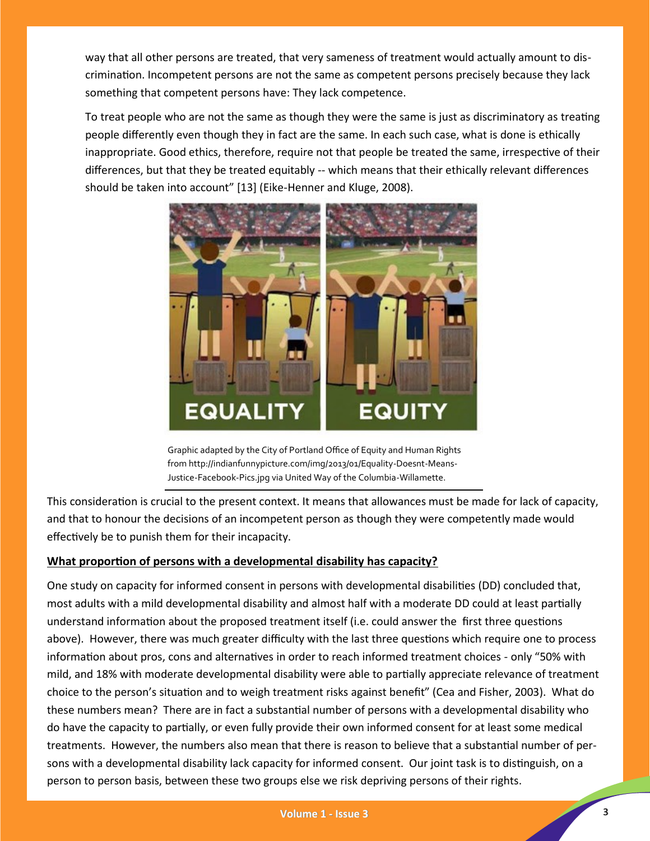way that all other persons are treated, that very sameness of treatment would actually amount to discrimination. Incompetent persons are not the same as competent persons precisely because they lack something that competent persons have: They lack competence.

To treat people who are not the same as though they were the same is just as discriminatory as treating people differently even though they in fact are the same. In each such case, what is done is ethically inappropriate. Good ethics, therefore, require not that people be treated the same, irrespective of their differences, but that they be treated equitably -- which means that their ethically relevant differences should be taken into account" [13] (Eike-Henner and Kluge, 2008).



Graphic adapted by the City of Portland Office of Equity and Human Rights from http://indianfunnypicture.com/img/2013/01/Equality-Doesnt-Means-Justice-Facebook-Pics.jpg via United Way of the Columbia-Willamette.

This consideration is crucial to the present context. It means that allowances must be made for lack of capacity, and that to honour the decisions of an incompetent person as though they were competently made would effectively be to punish them for their incapacity.

# **What proportion of persons with a developmental disability has capacity?**

One study on capacity for informed consent in persons with developmental disabilities (DD) concluded that, most adults with a mild developmental disability and almost half with a moderate DD could at least partially understand information about the proposed treatment itself (i.e. could answer the first three questions above). However, there was much greater difficulty with the last three questions which require one to process information about pros, cons and alternatives in order to reach informed treatment choices - only "50% with mild, and 18% with moderate developmental disability were able to partially appreciate relevance of treatment choice to the person's situation and to weigh treatment risks against benefit" (Cea and Fisher, 2003). What do these numbers mean? There are in fact a substantial number of persons with a developmental disability who do have the capacity to partially, or even fully provide their own informed consent for at least some medical treatments. However, the numbers also mean that there is reason to believe that a substantial number of persons with a developmental disability lack capacity for informed consent. Our joint task is to distinguish, on a person to person basis, between these two groups else we risk depriving persons of their rights.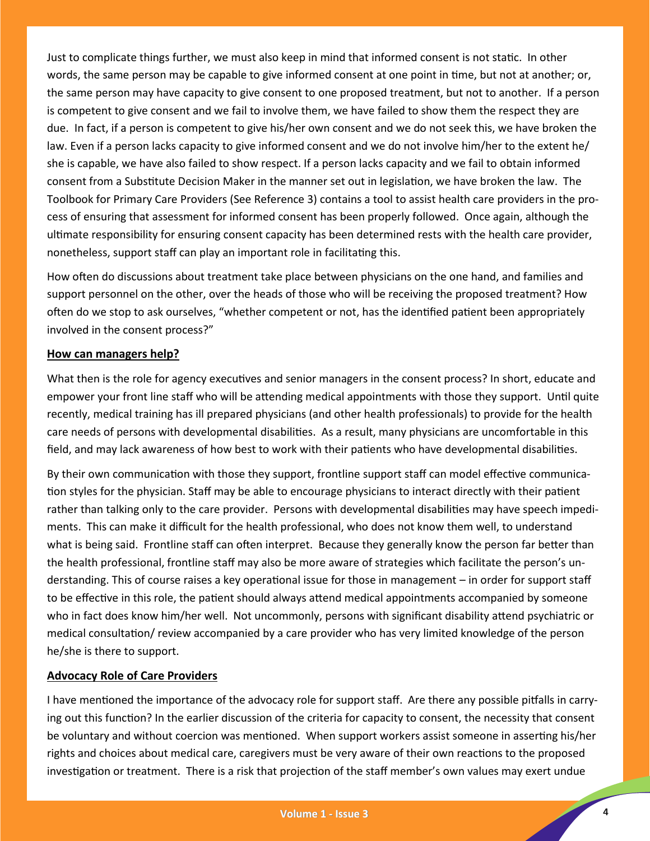Just to complicate things further, we must also keep in mind that informed consent is not static. In other words, the same person may be capable to give informed consent at one point in time, but not at another; or, the same person may have capacity to give consent to one proposed treatment, but not to another. If a person is competent to give consent and we fail to involve them, we have failed to show them the respect they are due. In fact, if a person is competent to give his/her own consent and we do not seek this, we have broken the law. Even if a person lacks capacity to give informed consent and we do not involve him/her to the extent he/ she is capable, we have also failed to show respect. If a person lacks capacity and we fail to obtain informed consent from a Substitute Decision Maker in the manner set out in legislation, we have broken the law. The Toolbook for Primary Care Providers (See Reference 3) contains a tool to assist health care providers in the process of ensuring that assessment for informed consent has been properly followed. Once again, although the ultimate responsibility for ensuring consent capacity has been determined rests with the health care provider, nonetheless, support staff can play an important role in facilitating this.

How often do discussions about treatment take place between physicians on the one hand, and families and support personnel on the other, over the heads of those who will be receiving the proposed treatment? How often do we stop to ask ourselves, "whether competent or not, has the identified patient been appropriately involved in the consent process?"

#### **How can managers help?**

What then is the role for agency executives and senior managers in the consent process? In short, educate and empower your front line staff who will be attending medical appointments with those they support. Until quite recently, medical training has ill prepared physicians (and other health professionals) to provide for the health care needs of persons with developmental disabilities. As a result, many physicians are uncomfortable in this field, and may lack awareness of how best to work with their patients who have developmental disabilities.

By their own communication with those they support, frontline support staff can model effective communication styles for the physician. Staff may be able to encourage physicians to interact directly with their patient rather than talking only to the care provider. Persons with developmental disabilities may have speech impediments. This can make it difficult for the health professional, who does not know them well, to understand what is being said. Frontline staff can often interpret. Because they generally know the person far better than the health professional, frontline staff may also be more aware of strategies which facilitate the person's understanding. This of course raises a key operational issue for those in management – in order for support staff to be effective in this role, the patient should always attend medical appointments accompanied by someone who in fact does know him/her well. Not uncommonly, persons with significant disability attend psychiatric or medical consultation/ review accompanied by a care provider who has very limited knowledge of the person he/she is there to support.

#### **Advocacy Role of Care Providers**

I have mentioned the importance of the advocacy role for support staff. Are there any possible pitfalls in carrying out this function? In the earlier discussion of the criteria for capacity to consent, the necessity that consent be voluntary and without coercion was mentioned. When support workers assist someone in asserting his/her rights and choices about medical care, caregivers must be very aware of their own reactions to the proposed investigation or treatment. There is a risk that projection of the staff member's own values may exert undue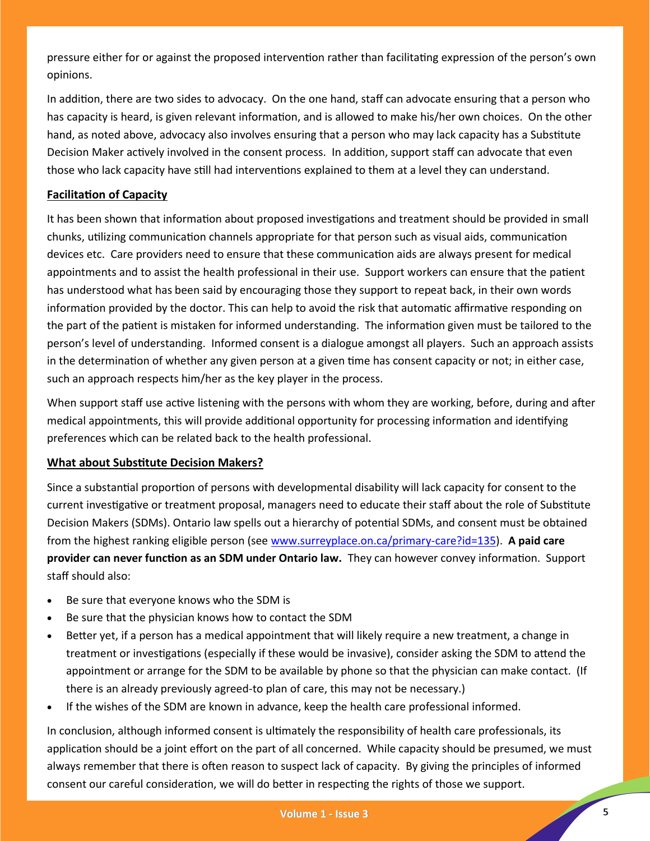pressure either for or against the proposed intervention rather than facilitating expression of the person's own opinions.

In addition, there are two sides to advocacy. On the one hand, staff can advocate ensuring that a person who has capacity is heard, is given relevant information, and is allowed to make his/her own choices. On the other hand, as noted above, advocacy also involves ensuring that a person who may lack capacity has a Substitute Decision Maker actively involved in the consent process. In addition, support staff can advocate that even those who lack capacity have still had interventions explained to them at a level they can understand.

## **Facilitation of Capacity**

It has been shown that information about proposed investigations and treatment should be provided in small chunks, utilizing communication channels appropriate for that person such as visual aids, communication devices etc. Care providers need to ensure that these communication aids are always present for medical appointments and to assist the health professional in their use. Support workers can ensure that the patient has understood what has been said by encouraging those they support to repeat back, in their own words information provided by the doctor. This can help to avoid the risk that automatic affirmative responding on the part of the patient is mistaken for informed understanding. The information given must be tailored to the person's level of understanding. Informed consent is a dialogue amongst all players. Such an approach assists in the determination of whether any given person at a given time has consent capacity or not; in either case, such an approach respects him/her as the key player in the process.

When support staff use active listening with the persons with whom they are working, before, during and after medical appointments, this will provide additional opportunity for processing information and identifying preferences which can be related back to the health professional.

## **What about Substitute Decision Makers?**

Since a substantial proportion of persons with developmental disability will lack capacity for consent to the current investigative or treatment proposal, managers need to educate their staff about the role of Substitute Decision Makers (SDMs). Ontario law spells out a hierarchy of potential SDMs, and consent must be obtained from the highest ranking eligible person (see [www.surreyplace.on.ca/primary](http://www.surreyplace.on.ca/primary-care?id=135)-care?id=135). **A paid care provider can never function as an SDM under Ontario law.** They can however convey information. Support staff should also:

- Be sure that everyone knows who the SDM is
- Be sure that the physician knows how to contact the SDM
- Better yet, if a person has a medical appointment that will likely require a new treatment, a change in treatment or investigations (especially if these would be invasive), consider asking the SDM to attend the appointment or arrange for the SDM to be available by phone so that the physician can make contact. (If there is an already previously agreed-to plan of care, this may not be necessary.)
- If the wishes of the SDM are known in advance, keep the health care professional informed.

In conclusion, although informed consent is ultimately the responsibility of health care professionals, its application should be a joint effort on the part of all concerned. While capacity should be presumed, we must always remember that there is often reason to suspect lack of capacity. By giving the principles of informed consent our careful consideration, we will do better in respecting the rights of those we support.